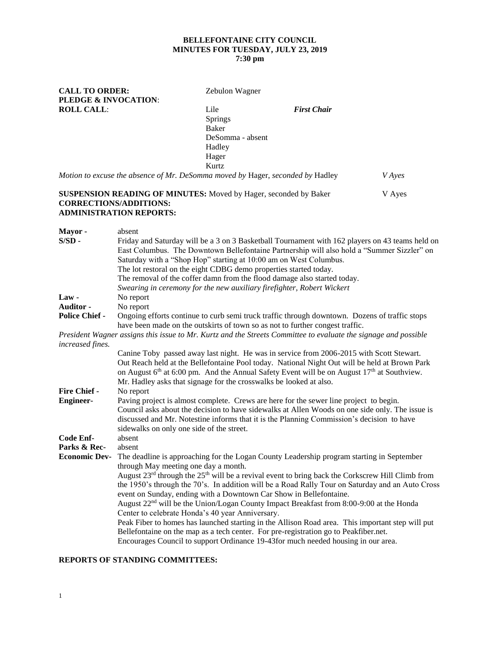# **BELLEFONTAINE CITY COUNCIL MINUTES FOR TUESDAY, JULY 23, 2019**

## **7:30 pm**

**CALL TO ORDER:** Zebulon Wagner **PLEDGE & INVOCATION**: **ROLL CALL**: Lile *First Chair* Springs Baker DeSomma - absent Hadley Hager Kurtz *Motion to excuse the absence of Mr. DeSomma moved by* Hager, *seconded by* Hadley *V Ayes* **SUSPENSION READING OF MINUTES:** Moved by Hager, seconded by Baker V Ayes **CORRECTIONS/ADDITIONS: ADMINISTRATION REPORTS: Mayor -** absent **S/SD** - Friday and Saturday will be a 3 on 3 Basketball Tournament with 162 players on 43 teams held on East Columbus. The Downtown Bellefontaine Partnership will also hold a "Summer Sizzler" on

Saturday with a "Shop Hop" starting at 10:00 am on West Columbus. The lot restoral on the eight CDBG demo properties started today. The removal of the coffer damn from the flood damage also started today. *Swearing in ceremony for the new auxiliary firefighter, Robert Wickert* **Law -** No report **Auditor -** No report **Police Chief -** Ongoing efforts continue to curb semi truck traffic through downtown. Dozens of traffic stops have been made on the outskirts of town so as not to further congest traffic. *President Wagner assigns this issue to Mr. Kurtz and the Streets Committee to evaluate the signage and possible increased fines.* Canine Toby passed away last night. He was in service from 2006-2015 with Scott Stewart. Out Reach held at the Bellefontaine Pool today. National Night Out will be held at Brown Park on August  $6<sup>th</sup>$  at 6:00 pm. And the Annual Safety Event will be on August  $17<sup>th</sup>$  at Southview. Mr. Hadley asks that signage for the crosswalks be looked at also. **Fire Chief -** No report **Engineer-** Paving project is almost complete. Crews are here for the sewer line project to begin.

|                      | Council asks about the decision to have sidewalks at Allen Woods on one side only. The issue is<br>discussed and Mr. Notestine informs that it is the Planning Commission's decision to have |
|----------------------|----------------------------------------------------------------------------------------------------------------------------------------------------------------------------------------------|
|                      | sidewalks on only one side of the street.                                                                                                                                                    |
| Code Enf-            | absent                                                                                                                                                                                       |
| Parks & Rec-         | absent                                                                                                                                                                                       |
| <b>Economic Dev-</b> | The deadline is approaching for the Logan County Leadership program starting in September                                                                                                    |
|                      | through May meeting one day a month.                                                                                                                                                         |
|                      | August $23^{rd}$ through the $25^{th}$ will be a revival event to bring back the Corkscrew Hill Climb from                                                                                   |
|                      | the 1950's through the 70's. In addition will be a Road Rally Tour on Saturday and an Auto Cross                                                                                             |
|                      | event on Sunday, ending with a Downtown Car Show in Bellefontaine.                                                                                                                           |
|                      | August $22nd$ will be the Union/Logan County Impact Breakfast from 8:00-9:00 at the Honda                                                                                                    |
|                      | Center to celebrate Honda's 40 year Anniversary.                                                                                                                                             |
|                      | Peak Fiber to homes has launched starting in the Allison Road area. This important step will put                                                                                             |
|                      | Bellefontaine on the map as a tech center. For pre-registration go to Peakfiber.net.                                                                                                         |
|                      | Encourages Council to support Ordinance 19-43 for much needed housing in our area.                                                                                                           |

## **REPORTS OF STANDING COMMITTEES:**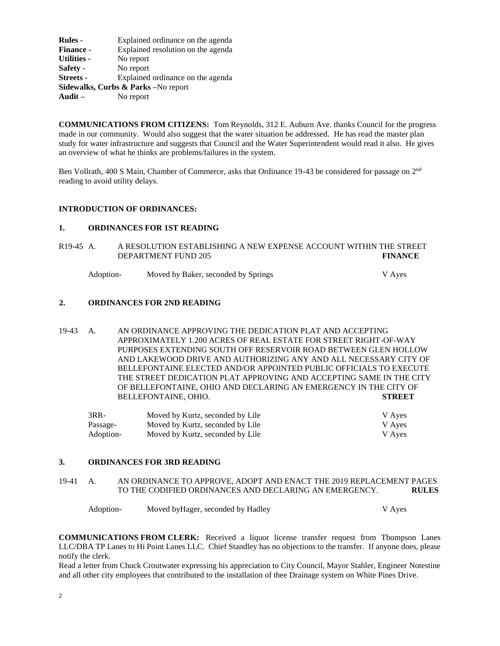| <b>Rules</b> -                      | Explained ordinance on the agenda  |  |  |  |
|-------------------------------------|------------------------------------|--|--|--|
| <b>Finance -</b>                    | Explained resolution on the agenda |  |  |  |
| <b>Utilities -</b>                  | No report                          |  |  |  |
| Safety -                            | No report                          |  |  |  |
| <b>Streets -</b>                    | Explained ordinance on the agenda  |  |  |  |
| Sidewalks, Curbs & Parks -No report |                                    |  |  |  |
| Audit $-$                           | No report                          |  |  |  |
|                                     |                                    |  |  |  |

**COMMUNICATIONS FROM CITIZENS:** Tom Reynolds, 312 E. Auburn Ave. thanks Council for the progress made in our community. Would also suggest that the water situation be addressed. He has read the master plan study for water infrastructure and suggests that Council and the Water Superintendent would read it also. He gives an overview of what he thinks are problems/failures in the system.

Ben Vollrath, 400 S Main, Chamber of Commerce, asks that Ordinance 19-43 be considered for passage on 2nd reading to avoid utility delays.

#### **INTRODUCTION OF ORDINANCES:**

### **1. ORDINANCES FOR 1ST READING**

R19-45 A. A RESOLUTION ESTABLISHING A NEW EXPENSE ACCOUNT WITHIN THE STREET DEPARTMENT FUND 205 **FINANCE**

Adoption- Moved by Baker, seconded by Springs and Moves V Ayes

#### **2. ORDINANCES FOR 2ND READING**

19-43 A. AN ORDINANCE APPROVING THE DEDICATION PLAT AND ACCEPTING APPROXIMATELY 1.200 ACRES OF REAL ESTATE FOR STREET RIGHT-OF-WAY PURPOSES EXTENDING SOUTH OFF RESERVOIR ROAD BETWEEN GLEN HOLLOW AND LAKEWOOD DRIVE AND AUTHORIZING ANY AND ALL NECESSARY CITY OF BELLEFONTAINE ELECTED AND/OR APPOINTED PUBLIC OFFICIALS TO EXECUTE THE STREET DEDICATION PLAT APPROVING AND ACCEPTING SAME IN THE CITY OF BELLEFONTAINE, OHIO AND DECLARING AN EMERGENCY IN THE CITY OF BELLEFONTAINE, OHIO. **STREET**

| $3RR-$    | Moved by Kurtz, seconded by Lile | V Aves |
|-----------|----------------------------------|--------|
| Passage-  | Moved by Kurtz, seconded by Lile | V Aves |
| Adoption- | Moved by Kurtz, seconded by Lile | V Aves |

### **3. ORDINANCES FOR 3RD READING**

19-41 A. AN ORDINANCE TO APPROVE, ADOPT AND ENACT THE 2019 REPLACEMENT PAGES TO THE CODIFIED ORDINANCES AND DECLARING AN EMERGENCY. **RULES**

Adoption- Moved by Hager, seconded by Hadley V Ayes

**COMMUNICATIONS FROM CLERK:** Received a liquor license transfer request from Thompson Lanes LLC/DBA TP Lanes to Hi Point Lanes LLC. Chief Standley has no objections to the transfer. If anyone does, please notify the clerk.

Read a letter from Chuck Croutwater expressing his appreciation to City Council, Mayor Stahler, Engineer Notestine and all other city employees that contributed to the installation of thee Drainage system on White Pines Drive.